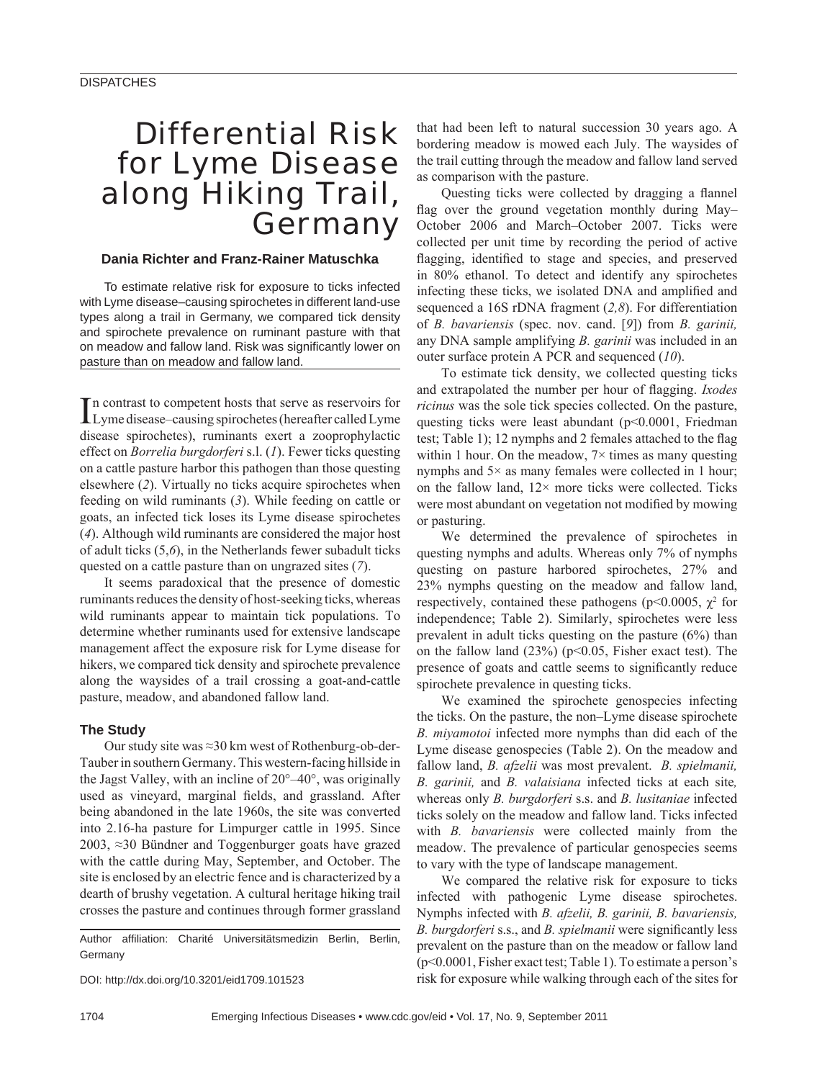# Differential Risk for Lyme Disease along Hiking Trail, **Germany**

## **Dania Richter and Franz-Rainer Matuschka**

To estimate relative risk for exposure to ticks infected with Lyme disease–causing spirochetes in different land-use types along a trail in Germany, we compared tick density and spirochete prevalence on ruminant pasture with that on meadow and fallow land. Risk was significantly lower on pasture than on meadow and fallow land.

In contrast to competent hosts that serve as reservoirs for<br>Lyme disease–causing spirochetes (hereafter called Lyme n contrast to competent hosts that serve as reservoirs for disease spirochetes), ruminants exert a zooprophylactic effect on *Borrelia burgdorferi* s.l. (*1*). Fewer ticks questing on a cattle pasture harbor this pathogen than those questing elsewhere (*2*). Virtually no ticks acquire spirochetes when feeding on wild ruminants (*3*). While feeding on cattle or goats, an infected tick loses its Lyme disease spirochetes (*4*). Although wild ruminants are considered the major host of adult ticks (5,*6*), in the Netherlands fewer subadult ticks quested on a cattle pasture than on ungrazed sites (*7*).

It seems paradoxical that the presence of domestic ruminants reduces the density of host-seeking ticks, whereas wild ruminants appear to maintain tick populations. To determine whether ruminants used for extensive landscape management affect the exposure risk for Lyme disease for hikers, we compared tick density and spirochete prevalence along the waysides of a trail crossing a goat-and-cattle pasture, meadow, and abandoned fallow land.

#### **The Study**

Our study site was ≈30 km west of Rothenburg-ob-der-Tauber in southern Germany. This western-facing hillside in the Jagst Valley, with an incline of 20°–40°, was originally used as vineyard, marginal fields, and grassland. After being abandoned in the late 1960s, the site was converted into 2.16-ha pasture for Limpurger cattle in 1995. Since 2003, ≈30 Bündner and Toggenburger goats have grazed with the cattle during May, September, and October. The site is enclosed by an electric fence and is characterized by a dearth of brushy vegetation. A cultural heritage hiking trail crosses the pasture and continues through former grassland

Author affiliation: Charité Universitätsmedizin Berlin, Berlin, Germany

DOI: http://dx.doi.org/10.3201/eid1709.101523

that had been left to natural succession 30 years ago. A bordering meadow is mowed each July. The waysides of the trail cutting through the meadow and fallow land served as comparison with the pasture.

Questing ticks were collected by dragging a flannel flag over the ground vegetation monthly during May-October 2006 and March–October 2007. Ticks were collected per unit time by recording the period of active flagging, identified to stage and species, and preserved in 80% ethanol. To detect and identify any spirochetes infecting these ticks, we isolated DNA and amplified and sequenced a 16S rDNA fragment (*2,8*). For differentiation of *B. bavariensis* (spec. nov. cand. [*9*]) from *B. garinii,*  any DNA sample amplifying *B. garinii* was included in an outer surface protein A PCR and sequenced (*10*).

To estimate tick density, we collected questing ticks and extrapolated the number per hour of flagging. *Ixodes ricinus* was the sole tick species collected. On the pasture, questing ticks were least abundant (p<0.0001, Friedman test; Table 1); 12 nymphs and 2 females attached to the flag within 1 hour. On the meadow,  $7\times$  times as many questing nymphs and 5× as many females were collected in 1 hour; on the fallow land,  $12 \times$  more ticks were collected. Ticks were most abundant on vegetation not modified by mowing or pasturing.

We determined the prevalence of spirochetes in questing nymphs and adults. Whereas only 7% of nymphs questing on pasture harbored spirochetes, 27% and 23% nymphs questing on the meadow and fallow land, respectively, contained these pathogens ( $p<0.0005$ ,  $\chi^2$  for independence; Table 2). Similarly, spirochetes were less prevalent in adult ticks questing on the pasture (6%) than on the fallow land  $(23\%)$  (p<0.05, Fisher exact test). The presence of goats and cattle seems to significantly reduce spirochete prevalence in questing ticks.

We examined the spirochete genospecies infecting the ticks. On the pasture, the non–Lyme disease spirochete *B. miyamotoi* infected more nymphs than did each of the Lyme disease genospecies (Table 2). On the meadow and fallow land, *B. afzelii* was most prevalent. *B. spielmanii, B. garinii,* and *B. valaisiana* infected ticks at each site*,*  whereas only *B. burgdorferi* s.s. and *B. lusitaniae* infected ticks solely on the meadow and fallow land. Ticks infected with *B. bavariensis* were collected mainly from the meadow. The prevalence of particular genospecies seems to vary with the type of landscape management.

We compared the relative risk for exposure to ticks infected with pathogenic Lyme disease spirochetes. Nymphs infected with *B. afzelii, B. garinii, B. bavariensis, B. burgdorferi* s.s., and *B. spielmanii* were significantly less prevalent on the pasture than on the meadow or fallow land (p<0.0001, Fisher exact test; Table 1). To estimate a person's risk for exposure while walking through each of the sites for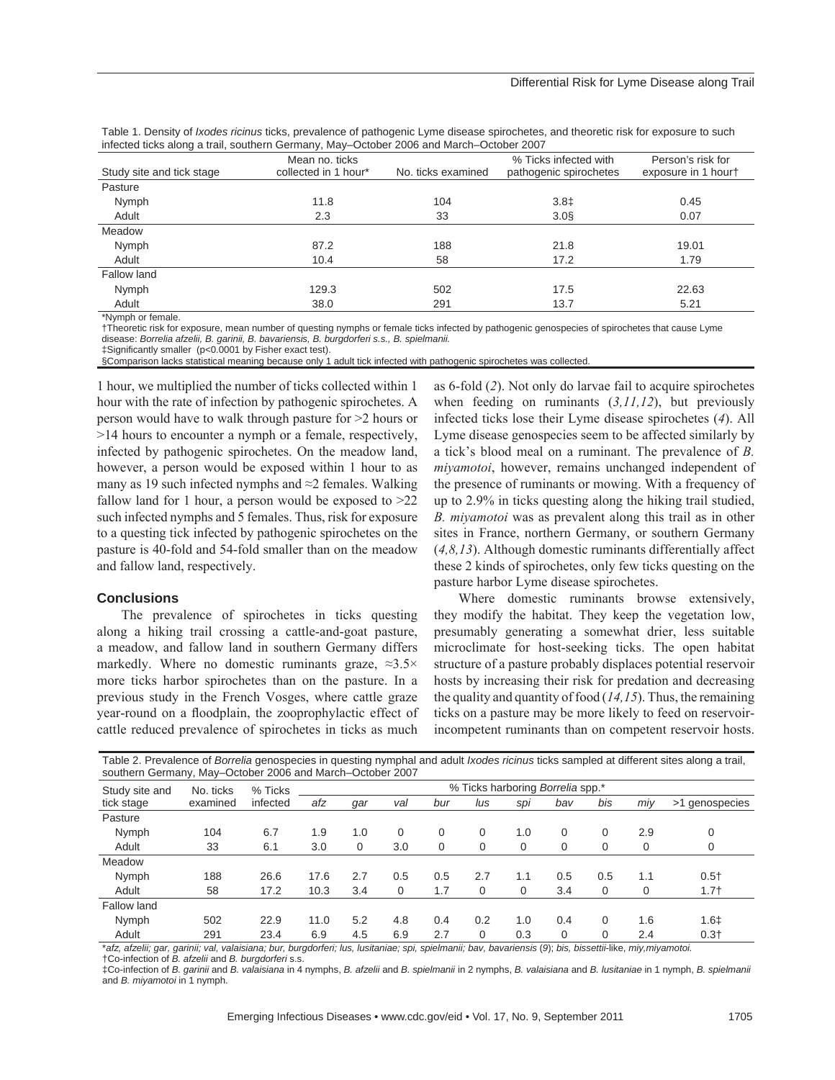| inicated tions along a trail, southern Ochhany, may October 2000 and march October 2007 |                                        |                    |                                                 |                                          |  |  |  |  |  |  |
|-----------------------------------------------------------------------------------------|----------------------------------------|--------------------|-------------------------------------------------|------------------------------------------|--|--|--|--|--|--|
| Study site and tick stage                                                               | Mean no. ticks<br>collected in 1 hour* | No. ticks examined | % Ticks infected with<br>pathogenic spirochetes | Person's risk for<br>exposure in 1 hour† |  |  |  |  |  |  |
| Pasture                                                                                 |                                        |                    |                                                 |                                          |  |  |  |  |  |  |
| Nymph                                                                                   | 11.8                                   | 104                | $3.8+$                                          | 0.45                                     |  |  |  |  |  |  |
| Adult                                                                                   | 2.3                                    | 33                 | 3.0 <sub>5</sub>                                | 0.07                                     |  |  |  |  |  |  |
| Meadow                                                                                  |                                        |                    |                                                 |                                          |  |  |  |  |  |  |
| Nymph                                                                                   | 87.2                                   | 188                | 21.8                                            | 19.01                                    |  |  |  |  |  |  |
| Adult                                                                                   | 10.4                                   | 58                 | 17.2                                            | 1.79                                     |  |  |  |  |  |  |
| Fallow land                                                                             |                                        |                    |                                                 |                                          |  |  |  |  |  |  |
| Nymph                                                                                   | 129.3                                  | 502                | 17.5                                            | 22.63                                    |  |  |  |  |  |  |
| Adult                                                                                   | 38.0                                   | 291                | 13.7                                            | 5.21                                     |  |  |  |  |  |  |

Table 1. Density of *Ixodes ricinus* ticks, prevalence of pathogenic Lyme disease spirochetes, and theoretic risk for exposure to such infected ticks along a trail, southern Germany, May–October 2006 and March–October 2007

\*Nymph or female.

†Theoretic risk for exposure, mean number of questing nymphs or female ticks infected by pathogenic genospecies of spirochetes that cause Lyme disease: *Borrelia afzelii, B. garinii, B. bavariensis, B. burgdorferi s.s., B. spielmanii.*

‡Significantly smaller (p<0.0001 by Fisher exact test).

§Comparison lacks statistical meaning because only 1 adult tick infected with pathogenic spirochetes was collected.

1 hour, we multiplied the number of ticks collected within 1 hour with the rate of infection by pathogenic spirochetes. A person would have to walk through pasture for >2 hours or >14 hours to encounter a nymph or a female, respectively, infected by pathogenic spirochetes. On the meadow land, however, a person would be exposed within 1 hour to as many as 19 such infected nymphs and  $\approx$ 2 females. Walking fallow land for 1 hour, a person would be exposed to  $>22$ such infected nymphs and 5 females. Thus, risk for exposure to a questing tick infected by pathogenic spirochetes on the pasture is 40-fold and 54-fold smaller than on the meadow and fallow land, respectively.

### **Conclusions**

The prevalence of spirochetes in ticks questing along a hiking trail crossing a cattle-and-goat pasture, a meadow, and fallow land in southern Germany differs markedly. Where no domestic ruminants graze,  $\approx 3.5 \times$ more ticks harbor spirochetes than on the pasture. In a previous study in the French Vosges, where cattle graze year-round on a floodplain, the zooprophylactic effect of cattle reduced prevalence of spirochetes in ticks as much as 6-fold (*2*). Not only do larvae fail to acquire spirochetes when feeding on ruminants (*3,11,12*), but previously infected ticks lose their Lyme disease spirochetes (*4*). All Lyme disease genospecies seem to be affected similarly by a tick's blood meal on a ruminant. The prevalence of *B. miyamotoi*, however, remains unchanged independent of the presence of ruminants or mowing. With a frequency of up to 2.9% in ticks questing along the hiking trail studied, *B. miyamotoi* was as prevalent along this trail as in other sites in France, northern Germany, or southern Germany (*4,8,13*). Although domestic ruminants differentially affect these 2 kinds of spirochetes, only few ticks questing on the pasture harbor Lyme disease spirochetes.

Where domestic ruminants browse extensively, they modify the habitat. They keep the vegetation low, presumably generating a somewhat drier, less suitable microclimate for host-seeking ticks. The open habitat structure of a pasture probably displaces potential reservoir hosts by increasing their risk for predation and decreasing the quality and quantity of food (*14,15*). Thus, the remaining ticks on a pasture may be more likely to feed on reservoirincompetent ruminants than on competent reservoir hosts.

| Table 2. Prevalence of Borrelia genospecies in questing nymphal and adult <i>Ixodes ricinus</i> ticks sampled at different sites along a trail,<br>southern Germany, May-October 2006 and March-October 2007 |           |          |                                  |          |          |          |          |     |          |          |          |                |
|--------------------------------------------------------------------------------------------------------------------------------------------------------------------------------------------------------------|-----------|----------|----------------------------------|----------|----------|----------|----------|-----|----------|----------|----------|----------------|
| Study site and                                                                                                                                                                                               | No. ticks | % Ticks  | % Ticks harboring Borrelia spp.* |          |          |          |          |     |          |          |          |                |
| tick stage                                                                                                                                                                                                   | examined  | infected | afz                              | gar      | val      | bur      | lus      | spi | bav      | bis      | miy      | >1 genospecies |
| Pasture                                                                                                                                                                                                      |           |          |                                  |          |          |          |          |     |          |          |          |                |
| Nymph                                                                                                                                                                                                        | 104       | 6.7      | 1.9                              | 1.0      | $\Omega$ | $\Omega$ | $\Omega$ | 1.0 | $\Omega$ | $\Omega$ | 2.9      | 0              |
| Adult                                                                                                                                                                                                        | 33        | 6.1      | 3.0                              | $\Omega$ | 3.0      | 0        | $\Omega$ | 0   | $\Omega$ | $\Omega$ | $\Omega$ | 0              |
| Meadow                                                                                                                                                                                                       |           |          |                                  |          |          |          |          |     |          |          |          |                |
| Nymph                                                                                                                                                                                                        | 188       | 26.6     | 17.6                             | 2.7      | 0.5      | 0.5      | 2.7      | 1.1 | 0.5      | 0.5      | 1.1      | $0.5+$         |
| Adult                                                                                                                                                                                                        | 58        | 17.2     | 10.3                             | 3.4      | 0        | 1.7      | $\Omega$ | 0   | 3.4      | 0        | 0        | $1.7+$         |
| Fallow land                                                                                                                                                                                                  |           |          |                                  |          |          |          |          |     |          |          |          |                |
| Nymph                                                                                                                                                                                                        | 502       | 22.9     | 11.0                             | 5.2      | 4.8      | 0.4      | 0.2      | 1.0 | 0.4      | $\Omega$ | 1.6      | $1.6+$         |
| Adult                                                                                                                                                                                                        | 291       | 23.4     | 6.9                              | 4.5      | 6.9      | 2.7      | $\Omega$ | 0.3 | $\Omega$ | $\Omega$ | 2.4      | $0.3+$         |

\**afz, afzelii; gar, garinii; val, valaisiana; bur, burgdorferi; lus, lusitaniae; spi, spielmanii; bav, bavariensis* (*9*); *bis, bissettii*-like, *miy,miyamotoi.*

†Co-infection of *B. afzelii* and *B. burgdorferi* s.s.

‡Co-infection of *B. garinii* and *B. valaisiana* in 4 nymphs, *B. afzelii* and *B. spielmanii* in 2 nymphs, *B. valaisiana* and *B. lusitaniae* in 1 nymph, *B. spielmanii*  and *B. miyamotoi* in 1 nymph.